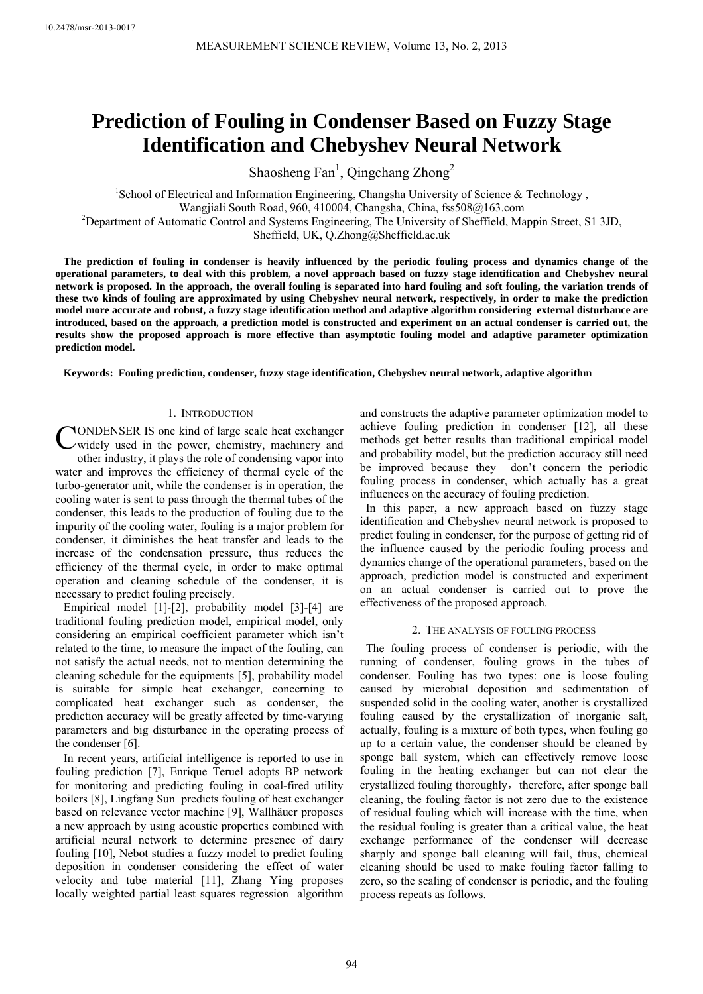# **Prediction of Fouling in Condenser Based on Fuzzy Stage Identification and Chebyshev Neural Network**

Shaosheng Fan<sup>1</sup>, Qingchang Zhong<sup>2</sup>

<sup>1</sup>School of Electrical and Information Engineering, Changsha University of Science & Technology, Wangjiali South Road, 960, 410004, Changsha, China, fss508@163.com 2 Department of Automatic Control and Systems Engineering, The University of Sheffield, Mappin Street, S1 3JD, Sheffield, UK, Q.Zhong@Sheffield.ac.uk

**The prediction of fouling in condenser is heavily influenced by the periodic fouling process and dynamics change of the operational parameters, to deal with this problem, a novel approach based on fuzzy stage identification and Chebyshev neural network is proposed. In the approach, the overall fouling is separated into hard fouling and soft fouling, the variation trends of these two kinds of fouling are approximated by using Chebyshev neural network, respectively, in order to make the prediction model more accurate and robust, a fuzzy stage identification method and adaptive algorithm considering external disturbance are introduced, based on the approach, a prediction model is constructed and experiment on an actual condenser is carried out, the results show the proposed approach is more effective than asymptotic fouling model and adaptive parameter optimization prediction model.** 

**Keywords: Fouling prediction, condenser, fuzzy stage identification, Chebyshev neural network, adaptive algorithm** 

# 1. INTRODUCTION

CONDENSER IS one kind of large scale heat exchanger<br>
widely used in the power, chemistry, machinery and widely used in the power, chemistry, machinery and other industry, it plays the role of condensing vapor into water and improves the efficiency of thermal cycle of the turbo-generator unit, while the condenser is in operation, the cooling water is sent to pass through the thermal tubes of the condenser, this leads to the production of fouling due to the impurity of the cooling water, fouling is a major problem for condenser, it diminishes the heat transfer and leads to the increase of the condensation pressure, thus reduces the efficiency of the thermal cycle, in order to make optimal operation and cleaning schedule of the condenser, it is necessary to predict fouling precisely.

Empirical model [1]-[2], probability model [3]-[4] are traditional fouling prediction model, empirical model, only considering an empirical coefficient parameter which isn't related to the time, to measure the impact of the fouling, can not satisfy the actual needs, not to mention determining the cleaning schedule for the equipments [5], probability model is suitable for simple heat exchanger, concerning to complicated heat exchanger such as condenser, the prediction accuracy will be greatly affected by time-varying parameters and big disturbance in the operating process of the condenser [6].

In recent years, artificial intelligence is reported to use in fouling prediction [7], Enrique Teruel adopts BP network for monitoring and predicting fouling in coal-fired utility boilers [8], Lingfang Sun predicts fouling of heat exchanger based on relevance vector machine [9], Wallhäuer proposes a new approach by using acoustic properties combined with artificial neural network to determine presence of dairy fouling [10], Nebot studies a fuzzy model to predict fouling deposition in condenser considering the effect of water velocity and tube material [11], Zhang Ying proposes locally weighted partial least squares regression algorithm and constructs the adaptive parameter optimization model to achieve fouling prediction in condenser [12], all these methods get better results than traditional empirical model and probability model, but the prediction accuracy still need be improved because they don't concern the periodic fouling process in condenser, which actually has a great influences on the accuracy of fouling prediction.

In this paper, a new approach based on fuzzy stage identification and Chebyshev neural network is proposed to predict fouling in condenser, for the purpose of getting rid of the influence caused by the periodic fouling process and dynamics change of the operational parameters, based on the approach, prediction model is constructed and experiment on an actual condenser is carried out to prove the effectiveness of the proposed approach.

# 2. THE ANALYSIS OF FOULING PROCESS

The fouling process of condenser is periodic, with the running of condenser, fouling grows in the tubes of condenser. Fouling has two types: one is loose fouling caused by microbial deposition and sedimentation of suspended solid in the cooling water, another is crystallized fouling caused by the crystallization of inorganic salt, actually, fouling is a mixture of both types, when fouling go up to a certain value, the condenser should be cleaned by sponge ball system, which can effectively remove loose fouling in the heating exchanger but can not clear the crystallized fouling thoroughly, therefore, after sponge ball cleaning, the fouling factor is not zero due to the existence of residual fouling which will increase with the time, when the residual fouling is greater than a critical value, the heat exchange performance of the condenser will decrease sharply and sponge ball cleaning will fail, thus, chemical cleaning should be used to make fouling factor falling to zero, so the scaling of condenser is periodic, and the fouling process repeats as follows.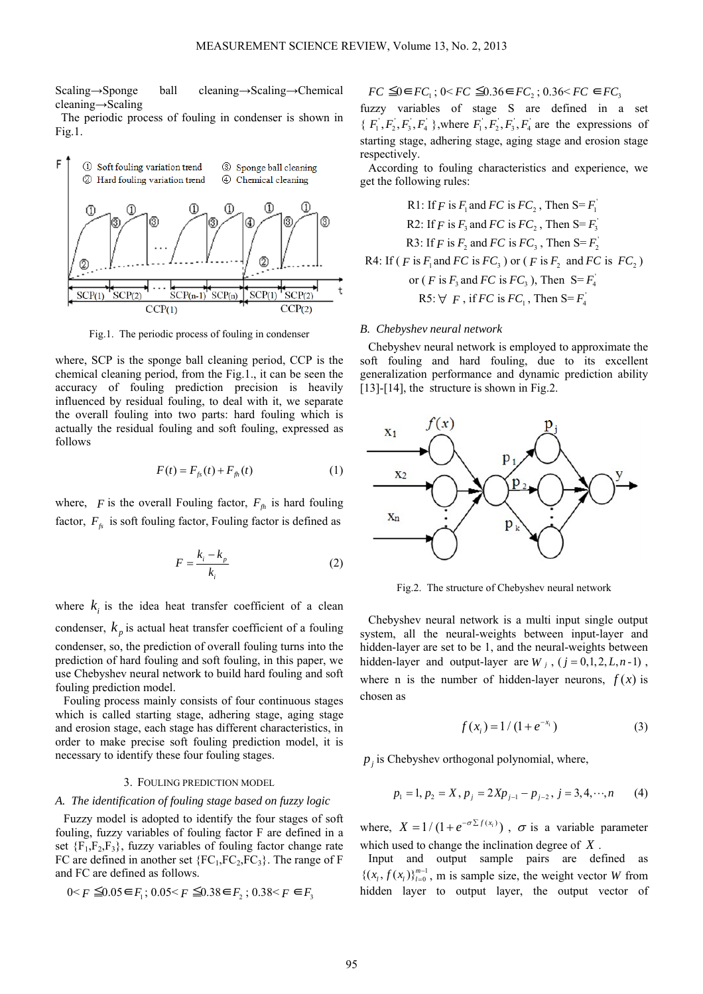Scaling→Sponge ball cleaning→Scaling→Chemical cleaning→Scaling

The periodic process of fouling in condenser is shown in Fig.1.



Fig.1. The periodic process of fouling in condenser

where, SCP is the sponge ball cleaning period, CCP is the chemical cleaning period, from the Fig.1., it can be seen the accuracy of fouling prediction precision is heavily influenced by residual fouling, to deal with it, we separate the overall fouling into two parts: hard fouling which is actually the residual fouling and soft fouling, expressed as follows

$$
F(t) = F_{f_s}(t) + F_{f_h}(t)
$$
 (1)

where,  $F$  is the overall Fouling factor,  $F_{f h}$  is hard fouling factor,  $F_f$  is soft fouling factor, Fouling factor is defined as

$$
F = \frac{k_i - k_p}{k_i} \tag{2}
$$

where  $k_i$  is the idea heat transfer coefficient of a clean condenser,  $k_p$  is actual heat transfer coefficient of a fouling condenser, so, the prediction of overall fouling turns into the prediction of hard fouling and soft fouling, in this paper, we use Chebyshev neural network to build hard fouling and soft fouling prediction model.

Fouling process mainly consists of four continuous stages which is called starting stage, adhering stage, aging stage and erosion stage, each stage has different characteristics, in order to make precise soft fouling prediction model, it is necessary to identify these four fouling stages.

## 3. FOULING PREDICTION MODEL

#### *A. The identification of fouling stage based on fuzzy logic*

Fuzzy model is adopted to identify the four stages of soft fouling, fuzzy variables of fouling factor F are defined in a set  ${F_1, F_2, F_3}$ , fuzzy variables of fouling factor change rate FC are defined in another set  ${FC_1, FC_2, FC_3}$ . The range of F and FC are defined as follows.

$$
0 < F \leq 0.05 \in F_1; \, 0.05 < F \leq 0.38 \in F_2; \, 0.38 < F \in F_3
$$

 $FC \leq 0 \in FC_1$ ;  $0 \leq FC \leq 0.36 \in FC_2$ ;  $0.36 \leq FC \in FC_3$ 

fuzzy variables of stage S are defined in a set { $F_1, F_2, F_3, F_4$ }, where  $F_1, F_2, F_3, F_4$  are the expressions of starting stage, adhering stage, aging stage and erosion stage respectively.

According to fouling characteristics and experience, we get the following rules:

R1: If 
$$
F
$$
 is  $F_1$  and  $FC$  is  $FC_2$ , Then  $S = F_1'$   
\nR2: If  $F$  is  $F_3$  and  $FC$  is  $FC_2$ , Then  $S = F_3'$   
\nR3: If  $F$  is  $F_2$  and  $FC$  is  $FC_3$ , Then  $S = F_2'$   
\nR4: If  $(F$  is  $F_1$  and  $FC$  is  $FC_3$ ) or  $(F$  is  $F_2$  and  $FC$  is  $FC_2$ )  
\nor  $(F$  is  $F_3$  and  $FC$  is  $FC_3$ ), Then  $S = F_4'$   
\nR5:  $\forall F$ , if  $FC$  is  $FC_1$ , Then  $S = F_4'$ 

#### *B. Chebyshev neural network*

Chebyshev neural network is employed to approximate the soft fouling and hard fouling, due to its excellent generalization performance and dynamic prediction ability [13]-[14], the structure is shown in Fig.2.



Fig.2. The structure of Chebyshev neural network

Chebyshev neural network is a multi input single output system, all the neural-weights between input-layer and hidden-layer are set to be 1, and the neural-weights between hidden-layer and output-layer are  $W_j$ ,  $(j = 0,1,2, L, n-1)$ , where n is the number of hidden-layer neurons,  $f(x)$  is chosen as

$$
f(x_i) = 1/(1 + e^{-x_i})
$$
 (3)

 $p_i$  is Chebyshev orthogonal polynomial, where,

$$
p_1 = 1, p_2 = X, p_j = 2Xp_{j-1} - p_{j-2}, j = 3, 4, \cdots, n \tag{4}
$$

where,  $X = 1/(1 + e^{-\sigma \sum f(x_i)})$ ,  $\sigma$  is a variable parameter which used to change the inclination degree of *X* .

Input and output sample pairs are defined as  $\{(x_l, f(x_l))_{l=0}^{m-1}$ , m is sample size, the weight vector *W* from hidden layer to output layer, the output vector of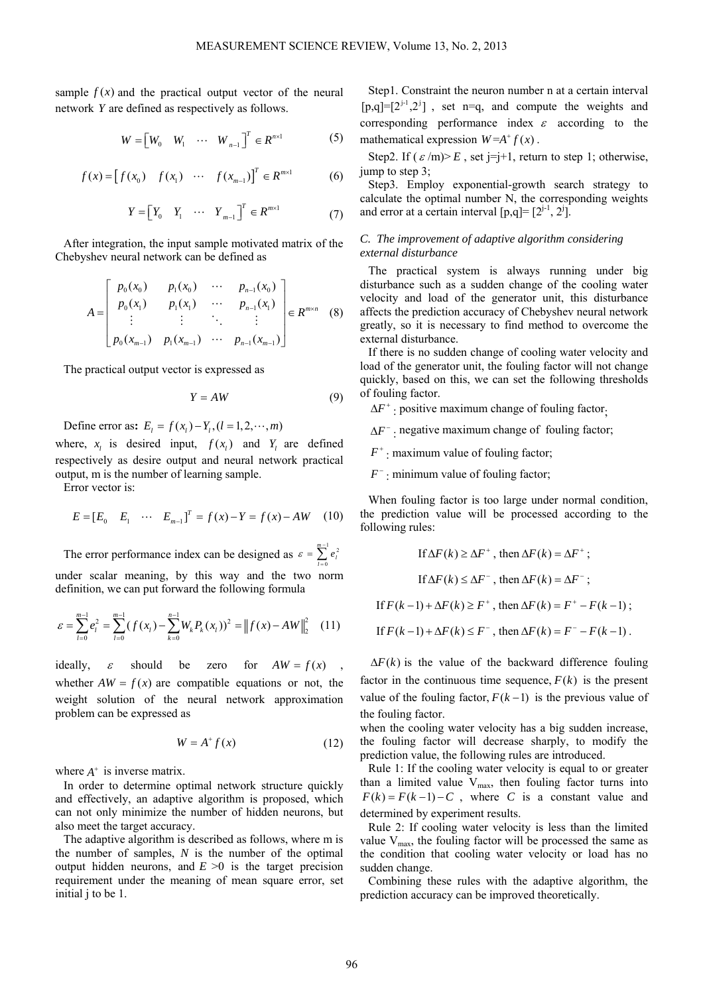sample  $f(x)$  and the practical output vector of the neural network *Y* are defined as respectively as follows.

$$
W = \begin{bmatrix} W_0 & W_1 & \cdots & W_{n-1} \end{bmatrix}^T \in R^{n \times 1}
$$
 (5)

$$
f(x) = [f(x_0) \quad f(x_1) \quad \cdots \quad f(x_{m-1})]^T \in R^{m \times 1} \tag{6}
$$

$$
Y = \begin{bmatrix} Y_0 & Y_1 & \cdots & Y_{m-1} \end{bmatrix}^T \in R^{m \times 1}
$$
 (7)

After integration, the input sample motivated matrix of the Chebyshev neural network can be defined as

$$
A = \begin{bmatrix} p_0(x_0) & p_1(x_0) & \cdots & p_{n-1}(x_0) \\ p_0(x_1) & p_1(x_1) & \cdots & p_{n-1}(x_1) \\ \vdots & \vdots & \ddots & \vdots \\ p_0(x_{m-1}) & p_1(x_{m-1}) & \cdots & p_{n-1}(x_{m-1}) \end{bmatrix} \in R^{m \times n}
$$
 (8)

The practical output vector is expressed as

$$
Y = AW \tag{9}
$$

Define error as:  $E_i = f(x_i) - Y_i$ ,  $(l = 1, 2, \dots, m)$ 

where,  $x_i$  is desired input,  $f(x_i)$  and  $Y_i$  are defined respectively as desire output and neural network practical output, m is the number of learning sample.

Error vector is:

$$
E = [E_0 \quad E_1 \quad \cdots \quad E_{m-1}]^T = f(x) - Y = f(x) - AW \quad (10)
$$

The error performance index can be designed as  $\varepsilon = \sum_{i=1}^{m-1} e_i^2$ 0  $\varepsilon = \sum_{i=1}^{m-1} e_i$ *l* = under scalar meaning, by this way and the two norm definition, we can put forward the following formula

$$
\varepsilon = \sum_{l=0}^{m-1} e_l^2 = \sum_{l=0}^{m-1} (f(x_l) - \sum_{k=0}^{n-1} W_k P_k(x_l))^2 = ||f(x) - AW||_2^2 \quad (11)
$$

ideally,  $\varepsilon$  should be zero for  $AW = f(x)$ whether  $AW = f(x)$  are compatible equations or not, the weight solution of the neural network approximation problem can be expressed as

$$
W = A^+ f(x) \tag{12}
$$

where  $A^+$  is inverse matrix.

In order to determine optimal network structure quickly and effectively, an adaptive algorithm is proposed, which can not only minimize the number of hidden neurons, but also meet the target accuracy.

The adaptive algorithm is described as follows, where m is the number of samples, *N* is the number of the optimal output hidden neurons, and  $E \ge 0$  is the target precision requirement under the meaning of mean square error, set initial j to be 1.

Step1. Constraint the neuron number n at a certain interval  $[p,q]=[2^{j-1},2^j]$ , set n=q, and compute the weights and corresponding performance index  $\varepsilon$  according to the mathematical expression  $W = A^T f(x)$ .

Step2. If  $(\varepsilon/m)$  *E*, set j=j+1, return to step 1; otherwise, jump to step 3;

Step3. Employ exponential-growth search strategy to calculate the optimal number N, the corresponding weights and error at a certain interval  $[p,q] = [2^{j-1}, 2^j]$ .

## *C. The improvement of adaptive algorithm considering external disturbance*

The practical system is always running under big disturbance such as a sudden change of the cooling water velocity and load of the generator unit, this disturbance affects the prediction accuracy of Chebyshev neural network greatly, so it is necessary to find method to overcome the external disturbance.

If there is no sudden change of cooling water velocity and load of the generator unit, the fouling factor will not change quickly, based on this, we can set the following thresholds of fouling factor.

 $\Delta F^+$ : positive maximum change of fouling factor.

 $\Delta F^-$  · negative maximum change of fouling factor;

 $F^+$ : maximum value of fouling factor;

*F*− : minimum value of fouling factor;

When fouling factor is too large under normal condition, the prediction value will be processed according to the following rules:

If 
$$
\Delta F(k) \ge \Delta F^+
$$
, then  $\Delta F(k) = \Delta F^+$ ;  
\nIf  $\Delta F(k) \le \Delta F^-$ , then  $\Delta F(k) = \Delta F^-$ ;  
\nIf  $F(k-1) + \Delta F(k) \ge F^+$ , then  $\Delta F(k) = F^+ - F(k-1)$ ;  
\nIf  $F(k-1) + \Delta F(k) \le F^-$ , then  $\Delta F(k) = F^- - F(k-1)$ .

 $\Delta F(k)$  is the value of the backward difference fouling factor in the continuous time sequence,  $F(k)$  is the present value of the fouling factor,  $F(k-1)$  is the previous value of the fouling factor.

when the cooling water velocity has a big sudden increase, the fouling factor will decrease sharply, to modify the prediction value, the following rules are introduced.

Rule 1: If the cooling water velocity is equal to or greater than a limited value  $V_{\text{max}}$ , then fouling factor turns into  $F(k) = F(k-1) - C$ , where *C* is a constant value and determined by experiment results.

Rule 2: If cooling water velocity is less than the limited value  $V_{\text{max}}$ , the fouling factor will be processed the same as the condition that cooling water velocity or load has no sudden change.

Combining these rules with the adaptive algorithm, the prediction accuracy can be improved theoretically.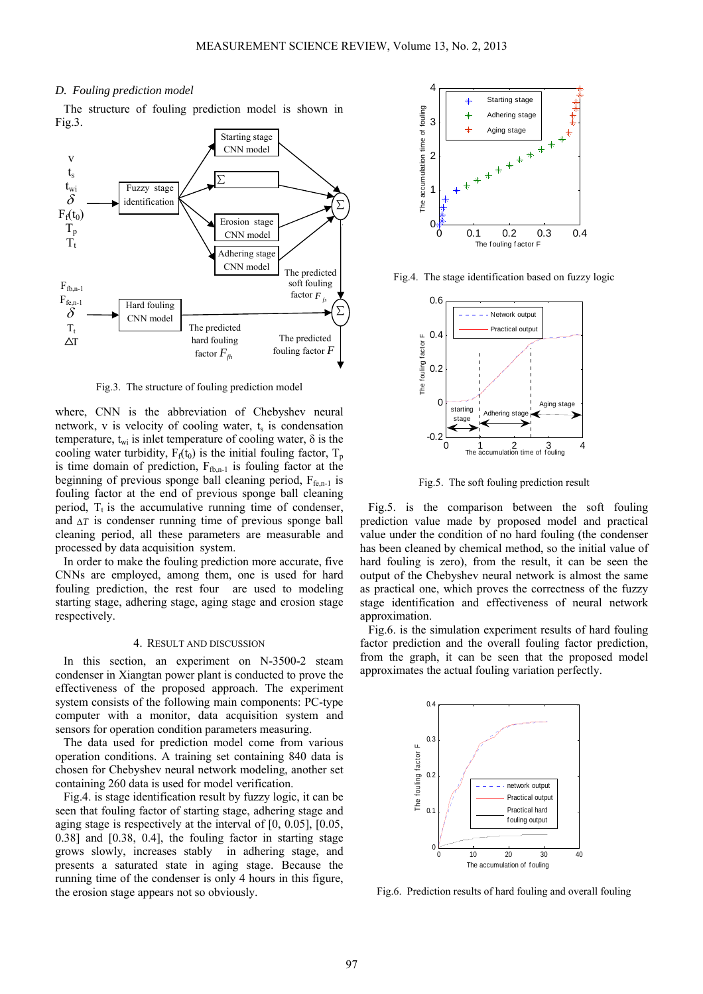### *D. Fouling prediction model*

The structure of fouling prediction model is shown in Fig.3.



Fig.3. The structure of fouling prediction model

where, CNN is the abbreviation of Chebyshev neural network, v is velocity of cooling water,  $t_s$  is condensation temperature,  $t_{wi}$  is inlet temperature of cooling water,  $\delta$  is the cooling water turbidity,  $F_f(t_0)$  is the initial fouling factor,  $T_p$ is time domain of prediction,  $F_{f_{\text{th,n-1}}}$  is fouling factor at the beginning of previous sponge ball cleaning period,  $F_{f_{\text{en-1}}}$  is fouling factor at the end of previous sponge ball cleaning period,  $T_t$  is the accumulative running time of condenser, and Δ*T* is condenser running time of previous sponge ball cleaning period, all these parameters are measurable and processed by data acquisition system.

In order to make the fouling prediction more accurate, five CNNs are employed, among them, one is used for hard fouling prediction, the rest four are used to modeling starting stage, adhering stage, aging stage and erosion stage respectively.

#### 4. RESULT AND DISCUSSION

In this section, an experiment on N-3500-2 steam condenser in Xiangtan power plant is conducted to prove the effectiveness of the proposed approach. The experiment system consists of the following main components: PC-type computer with a monitor, data acquisition system and sensors for operation condition parameters measuring.

The data used for prediction model come from various operation conditions. A training set containing 840 data is chosen for Chebyshev neural network modeling, another set containing 260 data is used for model verification.

Fig.4. is stage identification result by fuzzy logic, it can be seen that fouling factor of starting stage, adhering stage and aging stage is respectively at the interval of [0, 0.05], [0.05, 0.38] and [0.38, 0.4], the fouling factor in starting stage grows slowly, increases stably in adhering stage, and presents a saturated state in aging stage. Because the running time of the condenser is only 4 hours in this figure, the erosion stage appears not so obviously.



Fig.4. The stage identification based on fuzzy logic



Fig.5. The soft fouling prediction result

Fig.5. is the comparison between the soft fouling prediction value made by proposed model and practical value under the condition of no hard fouling (the condenser has been cleaned by chemical method, so the initial value of hard fouling is zero), from the result, it can be seen the output of the Chebyshev neural network is almost the same as practical one, which proves the correctness of the fuzzy stage identification and effectiveness of neural network approximation.

Fig.6. is the simulation experiment results of hard fouling factor prediction and the overall fouling factor prediction, from the graph, it can be seen that the proposed model approximates the actual fouling variation perfectly.



Fig.6. Prediction results of hard fouling and overall fouling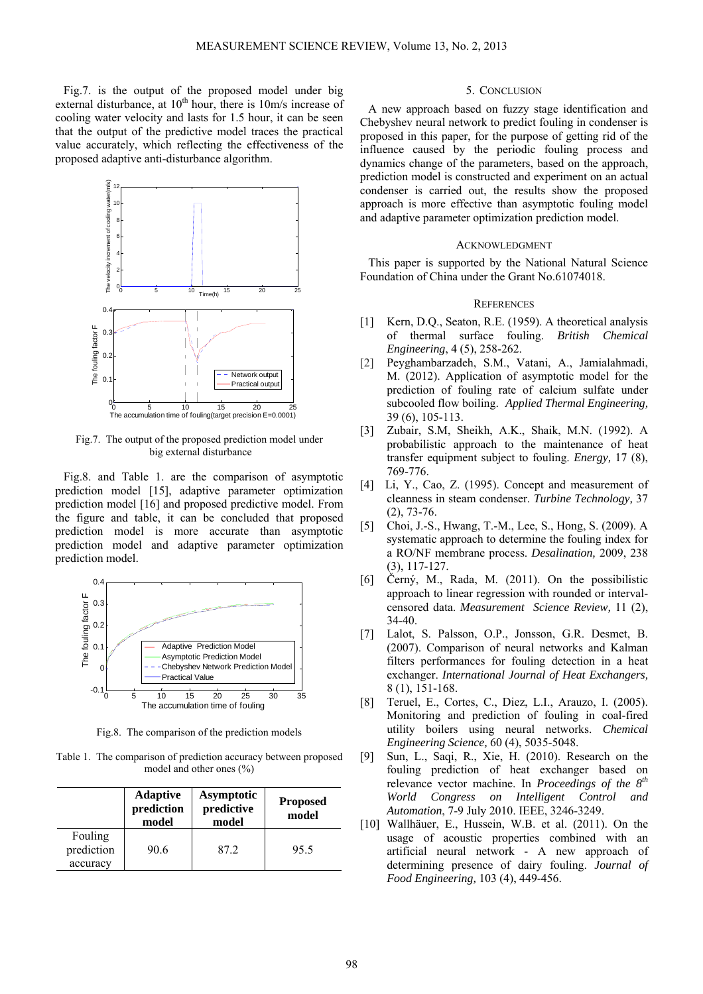Fig.7. is the output of the proposed model under big external disturbance, at  $10<sup>th</sup>$  hour, there is  $10<sup>th</sup>$  increase of cooling water velocity and lasts for 1.5 hour, it can be seen that the output of the predictive model traces the practical value accurately, which reflecting the effectiveness of the proposed adaptive anti-disturbance algorithm.



Fig.7. The output of the proposed prediction model under big external disturbance

Fig.8. and Table 1. are the comparison of asymptotic prediction model [15], adaptive parameter optimization prediction model [16] and proposed predictive model. From the figure and table, it can be concluded that proposed prediction model is more accurate than asymptotic prediction model and adaptive parameter optimization prediction model.



Fig.8. The comparison of the prediction models

Table 1. The comparison of prediction accuracy between proposed model and other ones (%)

|                                   | <b>Adaptive</b><br>prediction<br>model | <b>Asymptotic</b><br>predictive<br>model | <b>Proposed</b><br>model |
|-----------------------------------|----------------------------------------|------------------------------------------|--------------------------|
| Fouling<br>prediction<br>accuracy | 90.6                                   | 87.2                                     | 95.5                     |

## 5. CONCLUSION

A new approach based on fuzzy stage identification and Chebyshev neural network to predict fouling in condenser is proposed in this paper, for the purpose of getting rid of the influence caused by the periodic fouling process and dynamics change of the parameters, based on the approach, prediction model is constructed and experiment on an actual condenser is carried out, the results show the proposed approach is more effective than asymptotic fouling model and adaptive parameter optimization prediction model.

### ACKNOWLEDGMENT

This paper is supported by the National Natural Science Foundation of China under the Grant No.61074018.

#### **REFERENCES**

- [1] Kern, D.Q., Seaton, R.E. (1959). A theoretical analysis of thermal surface fouling. *British Chemical Engineering*, 4 (5), 258-262.
- [2] Peyghambarzadeh, S.M., Vatani, A., Jamialahmadi, M. (2012). Application of asymptotic model for the prediction of fouling rate of calcium sulfate under subcooled flow boiling. *Applied Thermal Engineering,* 39 (6), 105-113.
- [3] Zubair, S.M, Sheikh, A.K., Shaik, M.N. (1992). A probabilistic approach to the maintenance of heat transfer equipment subject to fouling. *Energy,* 17 (8), 769-776.
- [4] Li, Y., Cao, Z. (1995). Concept and measurement of cleanness in steam condenser. *Turbine Technology,* 37 (2), 73-76.
- [5] Choi, J.-S., Hwang, T.-M., Lee, S., Hong, S. (2009). A systematic approach to determine the fouling index for a RO/NF membrane process. *Desalination,* 2009, 238 (3), 117-127.
- [6] Černý, M., Rada, M. (2011). On the possibilistic approach to linear regression with rounded or intervalcensored data. *Measurement Science Review,* 11 (2), 34-40.
- [7] Lalot, S. Palsson, O.P., Jonsson, G.R. Desmet, B. (2007). Comparison of neural networks and Kalman filters performances for fouling detection in a heat exchanger. *International Journal of Heat Exchangers,* 8 (1), 151-168.
- [8] Teruel, E., Cortes, C., Diez, L.I., Arauzo, I. (2005). Monitoring and prediction of fouling in coal-fired utility boilers using neural networks. *Chemical Engineering Science,* 60 (4), 5035-5048.
- [9] Sun, L., Saqi, R., Xie, H. (2010). Research on the fouling prediction of heat exchanger based on relevance vector machine. In *Proceedings of the 8th World Congress on Intelligent Control and Automation*, 7-9 July 2010. IEEE, 3246-3249.
- [10] Wallhäuer, E., Hussein, W.B. et al. (2011). On the usage of acoustic properties combined with an artificial neural network - A new approach of determining presence of dairy fouling. *Journal of Food Engineering,* 103 (4), 449-456.